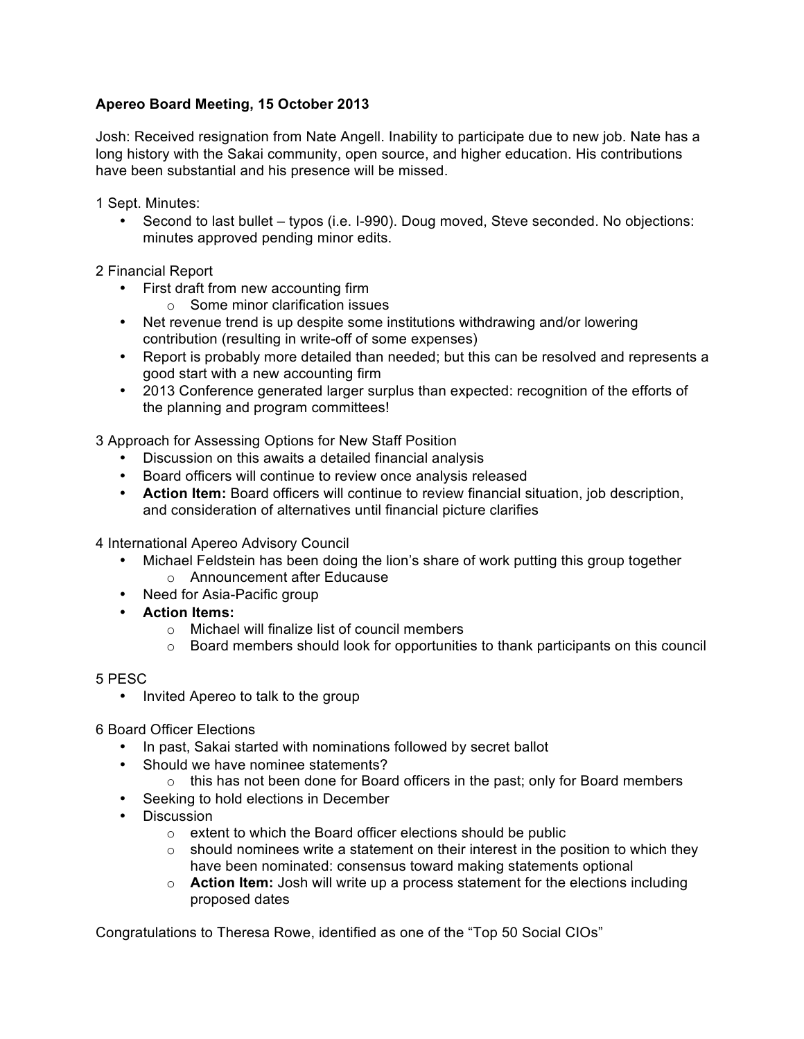## **Apereo Board Meeting, 15 October 2013**

Josh: Received resignation from Nate Angell. Inability to participate due to new job. Nate has a long history with the Sakai community, open source, and higher education. His contributions have been substantial and his presence will be missed.

1 Sept. Minutes:

• Second to last bullet – typos (i.e. I-990). Doug moved, Steve seconded. No objections: minutes approved pending minor edits.

2 Financial Report

- First draft from new accounting firm
	- $\circ$  Some minor clarification issues
- Net revenue trend is up despite some institutions withdrawing and/or lowering contribution (resulting in write-off of some expenses)
- Report is probably more detailed than needed; but this can be resolved and represents a good start with a new accounting firm
- 2013 Conference generated larger surplus than expected: recognition of the efforts of the planning and program committees!

3 Approach for Assessing Options for New Staff Position

- Discussion on this awaits a detailed financial analysis
- Board officers will continue to review once analysis released
- **Action Item:** Board officers will continue to review financial situation, job description, and consideration of alternatives until financial picture clarifies

4 International Apereo Advisory Council

- Michael Feldstein has been doing the lion's share of work putting this group together o Announcement after Educause
- Need for Asia-Pacific group
- **Action Items:**
	- o Michael will finalize list of council members
	- $\circ$  Board members should look for opportunities to thank participants on this council

5 PESC

• Invited Apereo to talk to the group

6 Board Officer Elections

- In past, Sakai started with nominations followed by secret ballot
- Should we have nominee statements?
	- $\circ$  this has not been done for Board officers in the past; only for Board members
- Seeking to hold elections in December
- Discussion
	- o extent to which the Board officer elections should be public
	- $\circ$  should nominees write a statement on their interest in the position to which they have been nominated: consensus toward making statements optional
	- o **Action Item:** Josh will write up a process statement for the elections including proposed dates

Congratulations to Theresa Rowe, identified as one of the "Top 50 Social CIOs"